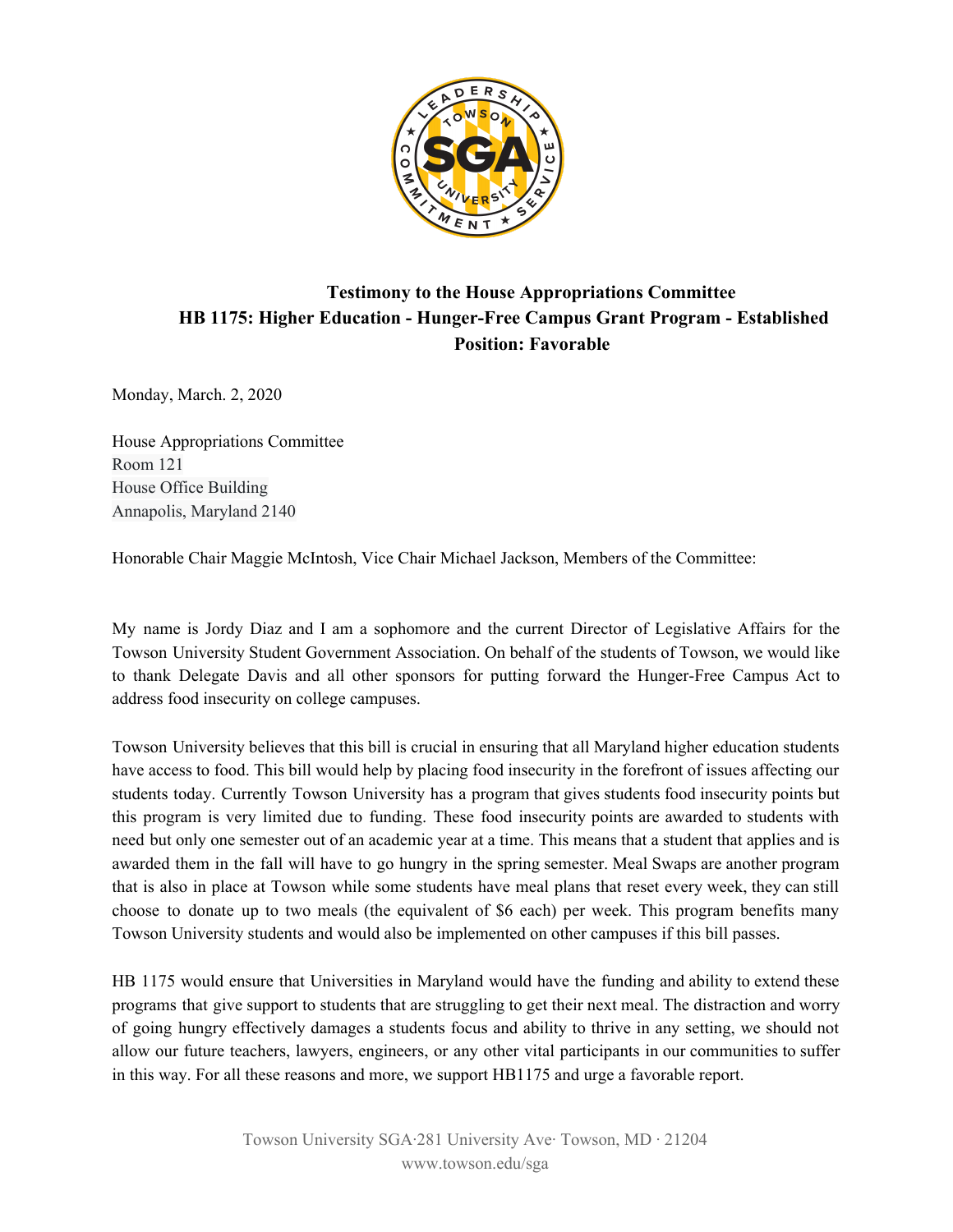

## **Testimony to the House Appropriations Committee HB 1175: Higher Education - Hunger-Free Campus Grant Program - Established Position: Favorable**

Monday, March. 2, 2020

House Appropriations Committee Room 121 House Office Building Annapolis, Maryland 2140

Honorable Chair Maggie McIntosh, Vice Chair Michael Jackson, Members of the Committee:

My name is Jordy Diaz and I am a sophomore and the current Director of Legislative Affairs for the Towson University Student Government Association. On behalf of the students of Towson, we would like to thank Delegate Davis and all other sponsors for putting forward the Hunger-Free Campus Act to address food insecurity on college campuses.

Towson University believes that this bill is crucial in ensuring that all Maryland higher education students have access to food. This bill would help by placing food insecurity in the forefront of issues affecting our students today. Currently Towson University has a program that gives students food insecurity points but this program is very limited due to funding. These food insecurity points are awarded to students with need but only one semester out of an academic year at a time. This means that a student that applies and is awarded them in the fall will have to go hungry in the spring semester. Meal Swaps are another program that is also in place at Towson while some students have meal plans that reset every week, they can still choose to donate up to two meals (the equivalent of \$6 each) per week. This program benefits many Towson University students and would also be implemented on other campuses if this bill passes.

HB 1175 would ensure that Universities in Maryland would have the funding and ability to extend these programs that give support to students that are struggling to get their next meal. The distraction and worry of going hungry effectively damages a students focus and ability to thrive in any setting, we should not allow our future teachers, lawyers, engineers, or any other vital participants in our communities to suffer in this way. For all these reasons and more, we support HB1175 and urge a favorable report.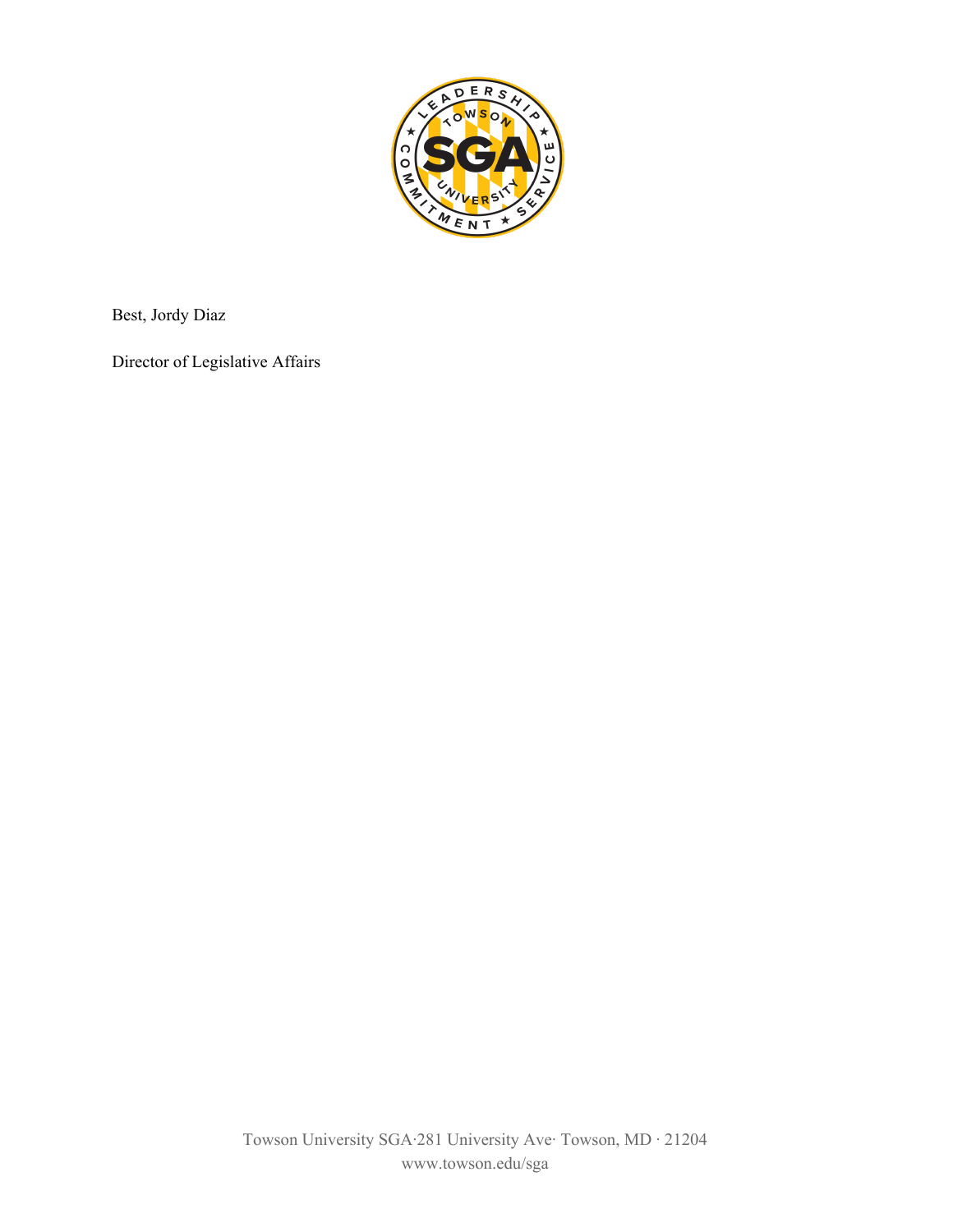

Best, Jordy Diaz

Director of Legislative Affairs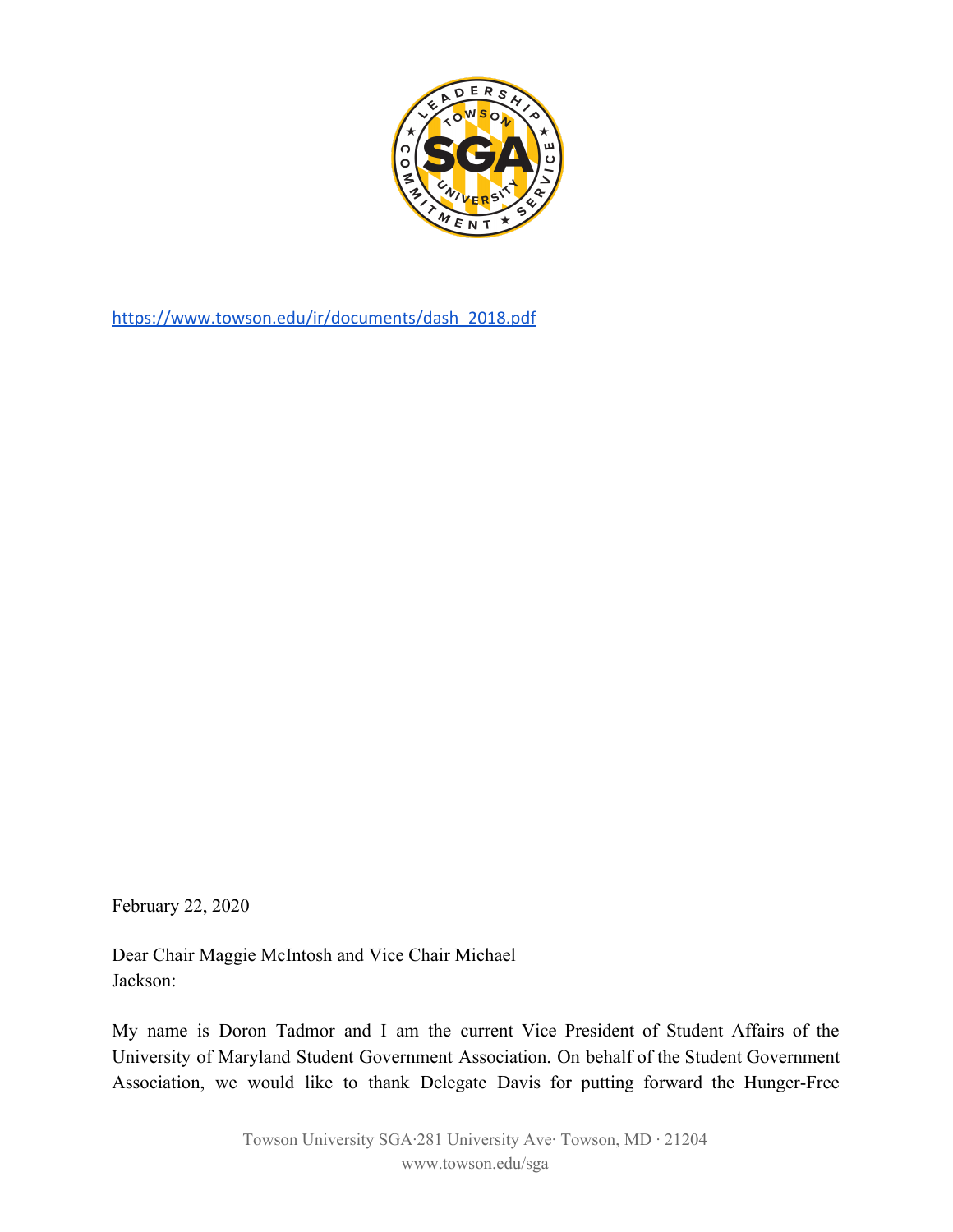

[https://www.towson.edu/ir/documents/dash\\_2018.pdf](https://www.towson.edu/ir/documents/dash_2018.pdf)

February 22, 2020

Dear Chair Maggie McIntosh and Vice Chair Michael Jackson:

My name is Doron Tadmor and I am the current Vice President of Student Affairs of the University of Maryland Student Government Association. On behalf of the Student Government Association, we would like to thank Delegate Davis for putting forward the Hunger-Free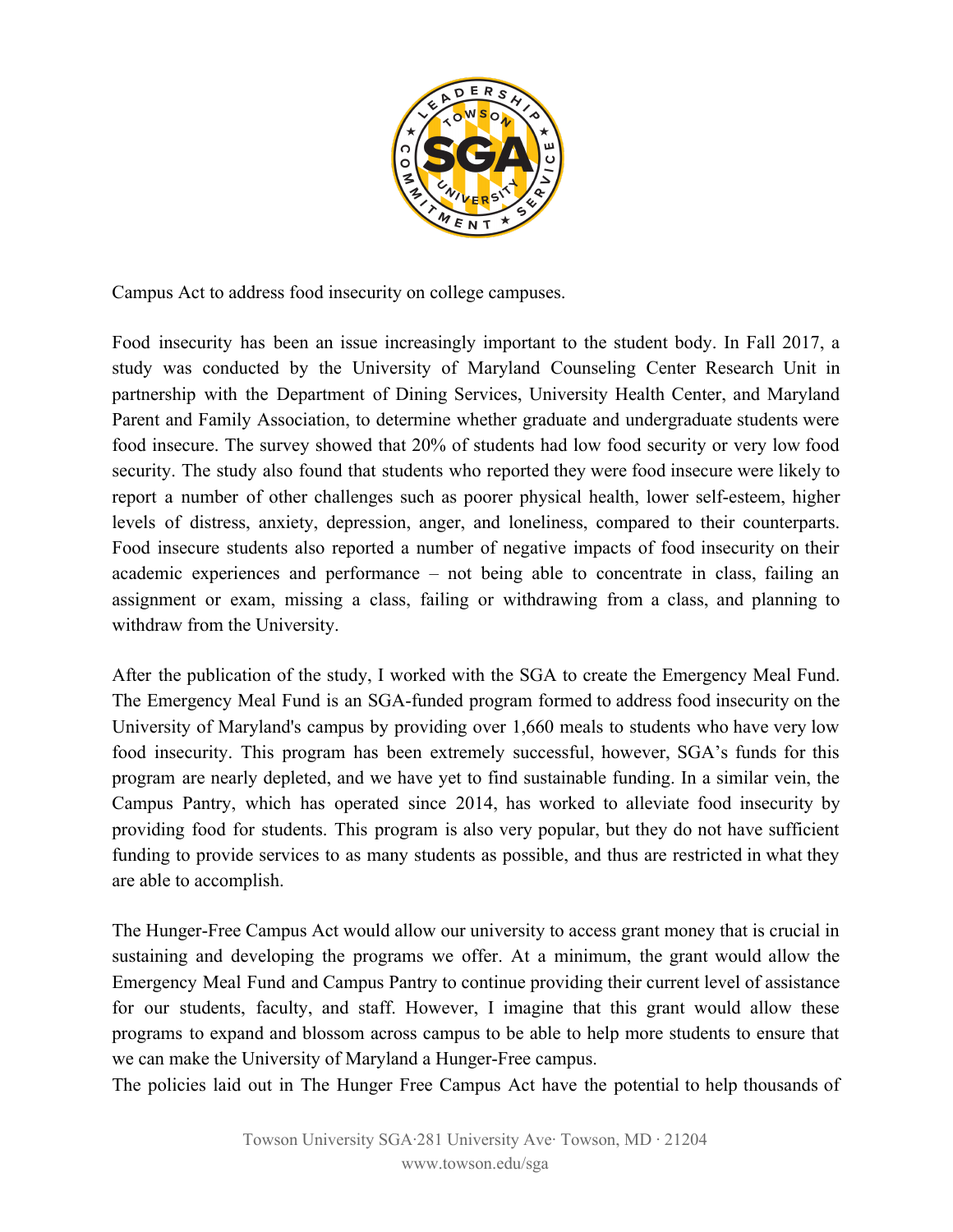

Campus Act to address food insecurity on college campuses.

Food insecurity has been an issue increasingly important to the student body. In Fall 2017, a study was conducted by the University of Maryland Counseling Center Research Unit in partnership with the Department of Dining Services, University Health Center, and Maryland Parent and Family Association, to determine whether graduate and undergraduate students were food insecure. The survey showed that 20% of students had low food security or very low food security. The study also found that students who reported they were food insecure were likely to report a number of other challenges such as poorer physical health, lower self-esteem, higher levels of distress, anxiety, depression, anger, and loneliness, compared to their counterparts. Food insecure students also reported a number of negative impacts of food insecurity on their academic experiences and performance – not being able to concentrate in class, failing an assignment or exam, missing a class, failing or withdrawing from a class, and planning to withdraw from the University.

After the publication of the study, I worked with the SGA to create the Emergency Meal Fund. The Emergency Meal Fund is an SGA-funded program formed to address food insecurity on the University of Maryland's campus by providing over 1,660 meals to students who have very low food insecurity. This program has been extremely successful, however, SGA's funds for this program are nearly depleted, and we have yet to find sustainable funding. In a similar vein, the Campus Pantry, which has operated since 2014, has worked to alleviate food insecurity by providing food for students. This program is also very popular, but they do not have sufficient funding to provide services to as many students as possible, and thus are restricted in what they are able to accomplish.

The Hunger-Free Campus Act would allow our university to access grant money that is crucial in sustaining and developing the programs we offer. At a minimum, the grant would allow the Emergency Meal Fund and Campus Pantry to continue providing their current level of assistance for our students, faculty, and staff. However, I imagine that this grant would allow these programs to expand and blossom across campus to be able to help more students to ensure that we can make the University of Maryland a Hunger-Free campus.

The policies laid out in The Hunger Free Campus Act have the potential to help thousands of